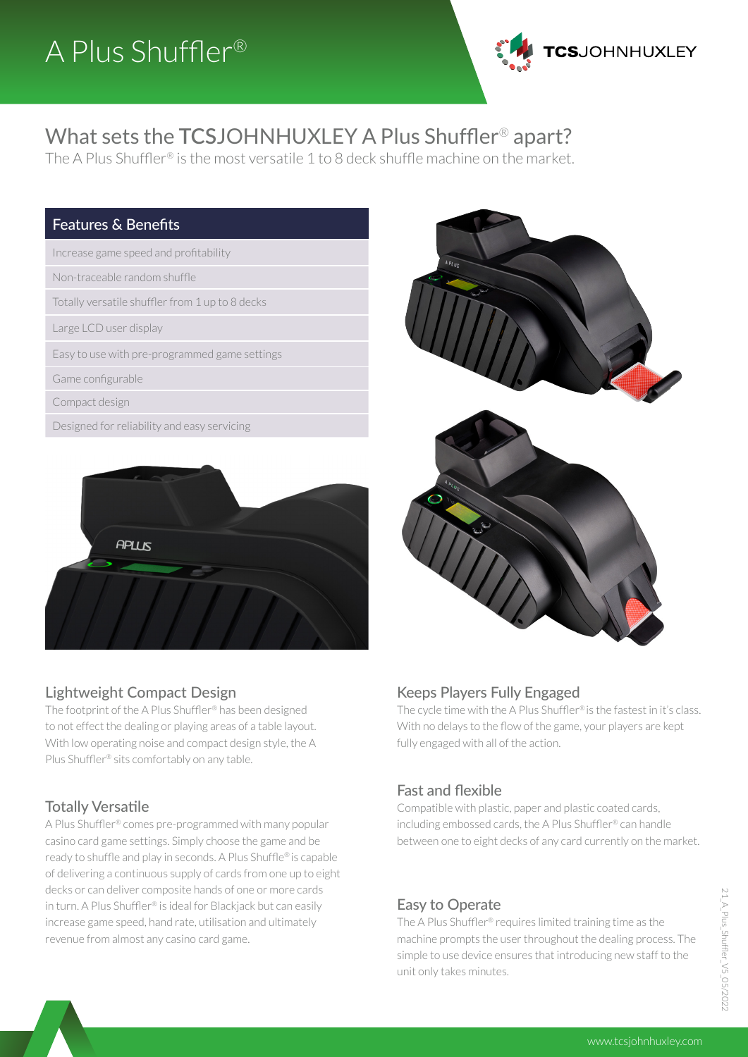

# What sets the **TCS**JOHNHUXLEY A Plus Shuffler® apart?

The A Plus Shuffler® is the most versatile 1 to 8 deck shuffle machine on the market.

#### Features & Benefits

Increase game speed and profitability

Non-traceable random shuffle

Totally versatile shuffler from 1 up to 8 decks

Large LCD user display

Easy to use with pre-programmed game settings

Game configurable

Compact design

Designed for reliability and easy servicing





The footprint of the A Plus Shuffler® has been designed to not effect the dealing or playing areas of a table layout. With low operating noise and compact design style, the A Plus Shuffler® sits comfortably on any table.

## Totally Versatile

A Plus Shuffler® comes pre-programmed with many popular casino card game settings. Simply choose the game and be ready to shuffle and play in seconds. A Plus Shuffle® is capable of delivering a continuous supply of cards from one up to eight decks or can deliver composite hands of one or more cards in turn. A Plus Shuffler® is ideal for Blackjack but can easily increase game speed, hand rate, utilisation and ultimately revenue from almost any casino card game.



#### Keeps Players Fully Engaged

The cycle time with the A Plus Shuffler® is the fastest in it's class. With no delays to the flow of the game, your players are kept fully engaged with all of the action.

## Fast and flexible

Compatible with plastic, paper and plastic coated cards, including embossed cards, the A Plus Shuffler® can handle between one to eight decks of any card currently on the market.

#### Easy to Operate

The A Plus Shuffler® requires limited training time as the machine prompts the user throughout the dealing process. The simple to use device ensures that introducing new staff to the unit only takes minutes.